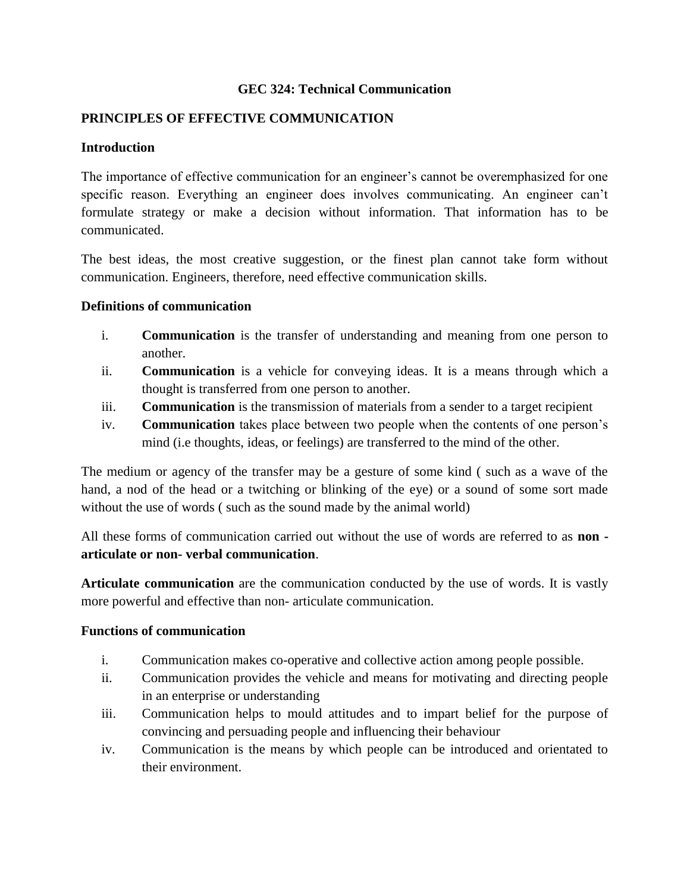## **GEC 324: Technical Communication**

## **PRINCIPLES OF EFFECTIVE COMMUNICATION**

#### **Introduction**

The importance of effective communication for an engineer's cannot be overemphasized for one specific reason. Everything an engineer does involves communicating. An engineer can't formulate strategy or make a decision without information. That information has to be communicated.

The best ideas, the most creative suggestion, or the finest plan cannot take form without communication. Engineers, therefore, need effective communication skills.

#### **Definitions of communication**

- i. **Communication** is the transfer of understanding and meaning from one person to another.
- ii. **Communication** is a vehicle for conveying ideas. It is a means through which a thought is transferred from one person to another.
- iii. **Communication** is the transmission of materials from a sender to a target recipient
- iv. **Communication** takes place between two people when the contents of one person's mind (i.e thoughts, ideas, or feelings) are transferred to the mind of the other.

The medium or agency of the transfer may be a gesture of some kind ( such as a wave of the hand, a nod of the head or a twitching or blinking of the eye) or a sound of some sort made without the use of words ( such as the sound made by the animal world)

All these forms of communication carried out without the use of words are referred to as **non articulate or non- verbal communication**.

**Articulate communication** are the communication conducted by the use of words. It is vastly more powerful and effective than non- articulate communication.

#### **Functions of communication**

- i. Communication makes co-operative and collective action among people possible.
- ii. Communication provides the vehicle and means for motivating and directing people in an enterprise or understanding
- iii. Communication helps to mould attitudes and to impart belief for the purpose of convincing and persuading people and influencing their behaviour
- iv. Communication is the means by which people can be introduced and orientated to their environment.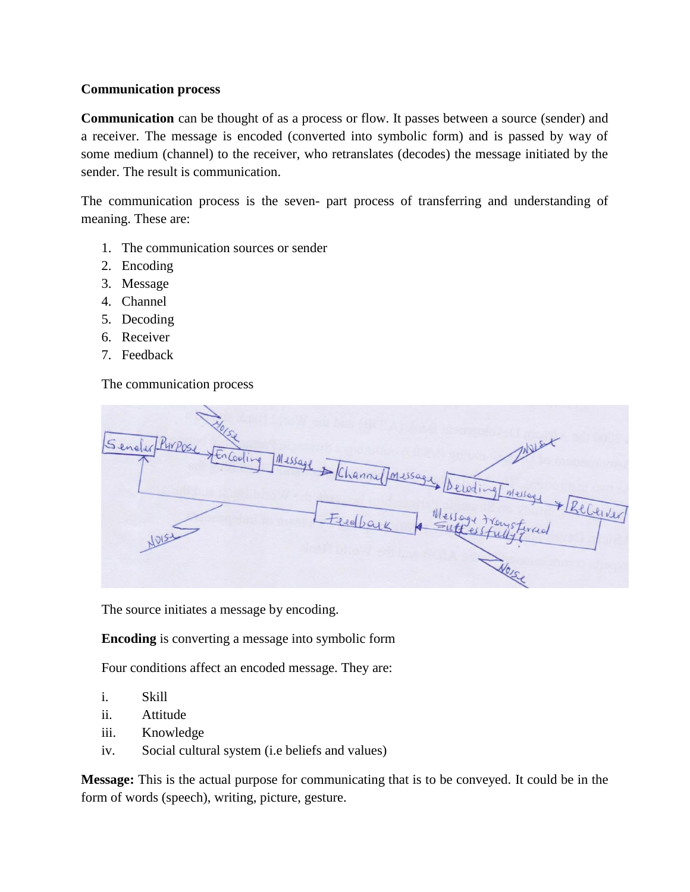#### **Communication process**

**Communication** can be thought of as a process or flow. It passes between a source (sender) and a receiver. The message is encoded (converted into symbolic form) and is passed by way of some medium (channel) to the receiver, who retranslates (decodes) the message initiated by the sender. The result is communication.

The communication process is the seven- part process of transferring and understanding of meaning. These are:

- 1. The communication sources or sender
- 2. Encoding
- 3. Message
- 4. Channel
- 5. Decoding
- 6. Receiver
- 7. Feedback

The communication process

| 5 ender Purpose Fencoding Message > Channel Message Devoting Message | + Becerver                     |
|----------------------------------------------------------------------|--------------------------------|
| Fredback<br>NDISL                                                    | Wesseys trouverturned<br>NOISE |

The source initiates a message by encoding.

**Encoding** is converting a message into symbolic form

Four conditions affect an encoded message. They are:

- i. Skill
- ii. Attitude
- iii. Knowledge
- iv. Social cultural system (i.e beliefs and values)

**Message:** This is the actual purpose for communicating that is to be conveyed. It could be in the form of words (speech), writing, picture, gesture.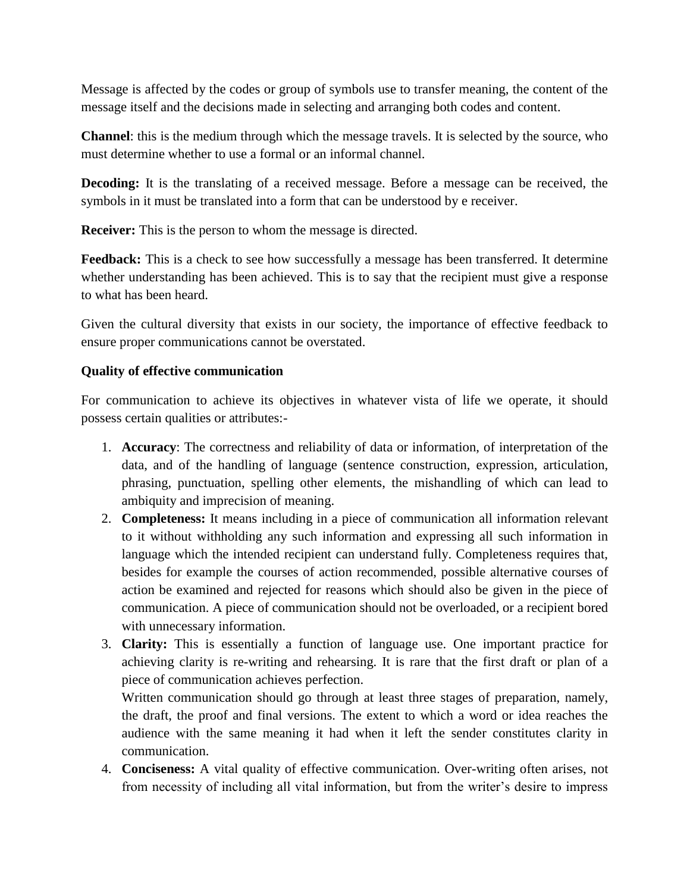Message is affected by the codes or group of symbols use to transfer meaning, the content of the message itself and the decisions made in selecting and arranging both codes and content.

**Channel**: this is the medium through which the message travels. It is selected by the source, who must determine whether to use a formal or an informal channel.

**Decoding:** It is the translating of a received message. Before a message can be received, the symbols in it must be translated into a form that can be understood by e receiver.

**Receiver:** This is the person to whom the message is directed.

Feedback: This is a check to see how successfully a message has been transferred. It determine whether understanding has been achieved. This is to say that the recipient must give a response to what has been heard.

Given the cultural diversity that exists in our society, the importance of effective feedback to ensure proper communications cannot be overstated.

### **Quality of effective communication**

For communication to achieve its objectives in whatever vista of life we operate, it should possess certain qualities or attributes:-

- 1. **Accuracy**: The correctness and reliability of data or information, of interpretation of the data, and of the handling of language (sentence construction, expression, articulation, phrasing, punctuation, spelling other elements, the mishandling of which can lead to ambiquity and imprecision of meaning.
- 2. **Completeness:** It means including in a piece of communication all information relevant to it without withholding any such information and expressing all such information in language which the intended recipient can understand fully. Completeness requires that, besides for example the courses of action recommended, possible alternative courses of action be examined and rejected for reasons which should also be given in the piece of communication. A piece of communication should not be overloaded, or a recipient bored with unnecessary information.
- 3. **Clarity:** This is essentially a function of language use. One important practice for achieving clarity is re-writing and rehearsing. It is rare that the first draft or plan of a piece of communication achieves perfection.

Written communication should go through at least three stages of preparation, namely, the draft, the proof and final versions. The extent to which a word or idea reaches the audience with the same meaning it had when it left the sender constitutes clarity in communication.

4. **Conciseness:** A vital quality of effective communication. Over-writing often arises, not from necessity of including all vital information, but from the writer's desire to impress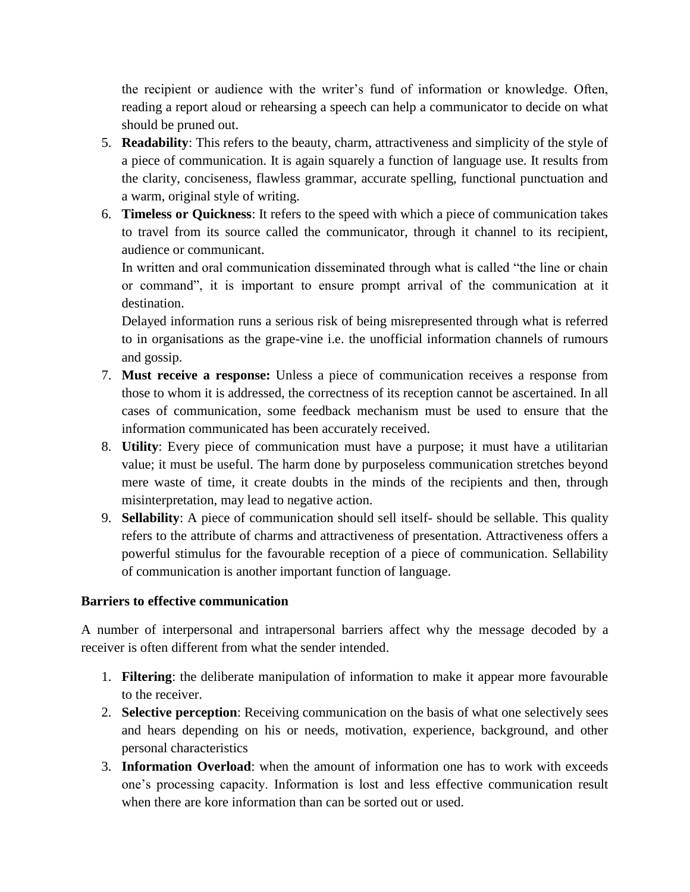the recipient or audience with the writer's fund of information or knowledge. Often, reading a report aloud or rehearsing a speech can help a communicator to decide on what should be pruned out.

- 5. **Readability**: This refers to the beauty, charm, attractiveness and simplicity of the style of a piece of communication. It is again squarely a function of language use. It results from the clarity, conciseness, flawless grammar, accurate spelling, functional punctuation and a warm, original style of writing.
- 6. **Timeless or Quickness**: It refers to the speed with which a piece of communication takes to travel from its source called the communicator, through it channel to its recipient, audience or communicant.

In written and oral communication disseminated through what is called "the line or chain or command", it is important to ensure prompt arrival of the communication at it destination.

Delayed information runs a serious risk of being misrepresented through what is referred to in organisations as the grape-vine i.e. the unofficial information channels of rumours and gossip.

- 7. **Must receive a response:** Unless a piece of communication receives a response from those to whom it is addressed, the correctness of its reception cannot be ascertained. In all cases of communication, some feedback mechanism must be used to ensure that the information communicated has been accurately received.
- 8. **Utility**: Every piece of communication must have a purpose; it must have a utilitarian value; it must be useful. The harm done by purposeless communication stretches beyond mere waste of time, it create doubts in the minds of the recipients and then, through misinterpretation, may lead to negative action.
- 9. **Sellability**: A piece of communication should sell itself- should be sellable. This quality refers to the attribute of charms and attractiveness of presentation. Attractiveness offers a powerful stimulus for the favourable reception of a piece of communication. Sellability of communication is another important function of language.

## **Barriers to effective communication**

A number of interpersonal and intrapersonal barriers affect why the message decoded by a receiver is often different from what the sender intended.

- 1. **Filtering**: the deliberate manipulation of information to make it appear more favourable to the receiver.
- 2. **Selective perception**: Receiving communication on the basis of what one selectively sees and hears depending on his or needs, motivation, experience, background, and other personal characteristics
- 3. **Information Overload**: when the amount of information one has to work with exceeds one's processing capacity. Information is lost and less effective communication result when there are kore information than can be sorted out or used.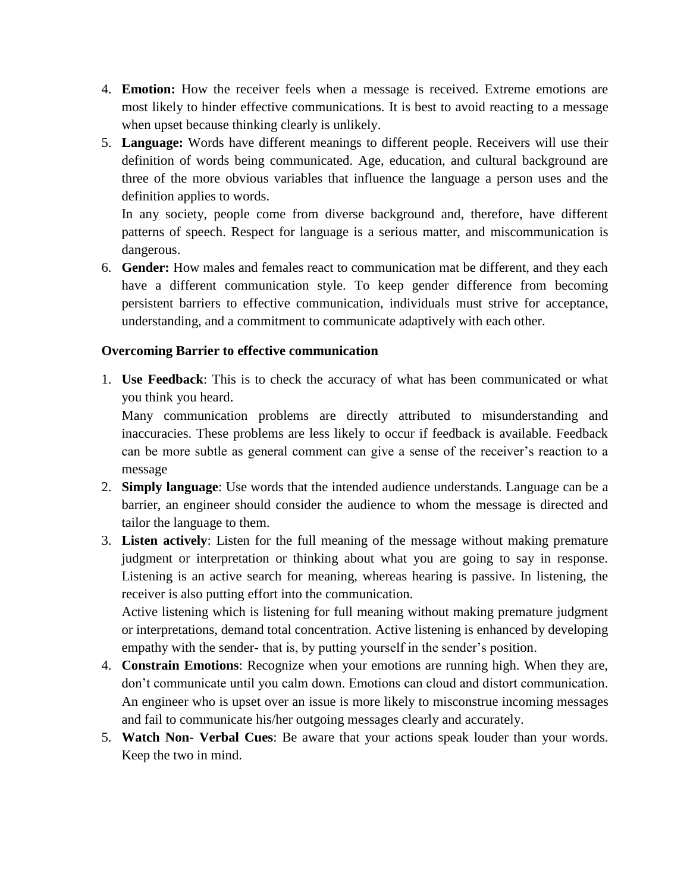- 4. **Emotion:** How the receiver feels when a message is received. Extreme emotions are most likely to hinder effective communications. It is best to avoid reacting to a message when upset because thinking clearly is unlikely.
- 5. **Language:** Words have different meanings to different people. Receivers will use their definition of words being communicated. Age, education, and cultural background are three of the more obvious variables that influence the language a person uses and the definition applies to words.

In any society, people come from diverse background and, therefore, have different patterns of speech. Respect for language is a serious matter, and miscommunication is dangerous.

6. **Gender:** How males and females react to communication mat be different, and they each have a different communication style. To keep gender difference from becoming persistent barriers to effective communication, individuals must strive for acceptance, understanding, and a commitment to communicate adaptively with each other.

## **Overcoming Barrier to effective communication**

1. **Use Feedback**: This is to check the accuracy of what has been communicated or what you think you heard.

Many communication problems are directly attributed to misunderstanding and inaccuracies. These problems are less likely to occur if feedback is available. Feedback can be more subtle as general comment can give a sense of the receiver's reaction to a message

- 2. **Simply language**: Use words that the intended audience understands. Language can be a barrier, an engineer should consider the audience to whom the message is directed and tailor the language to them.
- 3. **Listen actively**: Listen for the full meaning of the message without making premature judgment or interpretation or thinking about what you are going to say in response. Listening is an active search for meaning, whereas hearing is passive. In listening, the receiver is also putting effort into the communication.

Active listening which is listening for full meaning without making premature judgment or interpretations, demand total concentration. Active listening is enhanced by developing empathy with the sender- that is, by putting yourself in the sender's position.

- 4. **Constrain Emotions**: Recognize when your emotions are running high. When they are, don't communicate until you calm down. Emotions can cloud and distort communication. An engineer who is upset over an issue is more likely to misconstrue incoming messages and fail to communicate his/her outgoing messages clearly and accurately.
- 5. **Watch Non- Verbal Cues**: Be aware that your actions speak louder than your words. Keep the two in mind.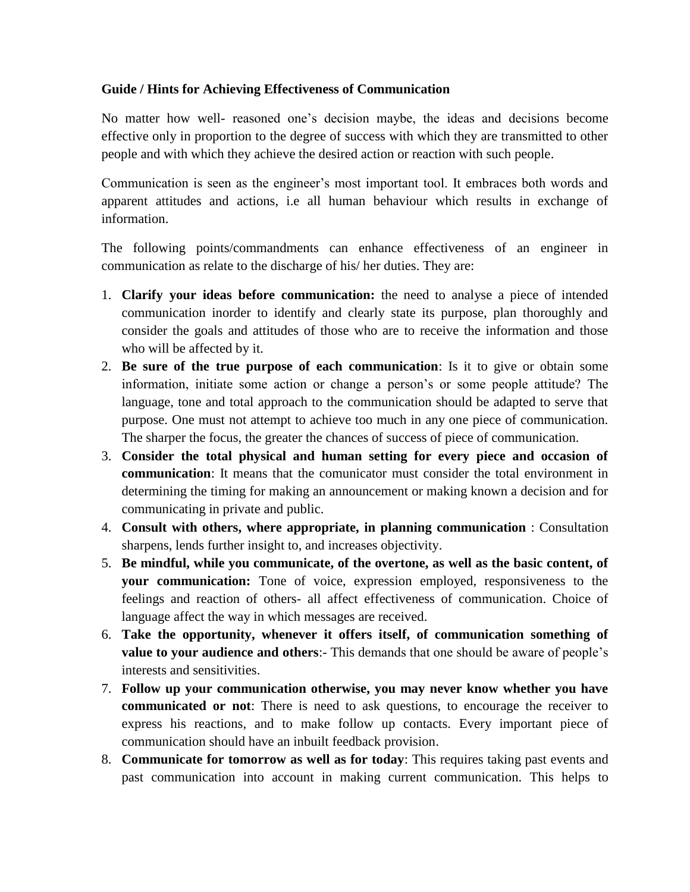## **Guide / Hints for Achieving Effectiveness of Communication**

No matter how well- reasoned one's decision maybe, the ideas and decisions become effective only in proportion to the degree of success with which they are transmitted to other people and with which they achieve the desired action or reaction with such people.

Communication is seen as the engineer's most important tool. It embraces both words and apparent attitudes and actions, i.e all human behaviour which results in exchange of information.

The following points/commandments can enhance effectiveness of an engineer in communication as relate to the discharge of his/ her duties. They are:

- 1. **Clarify your ideas before communication:** the need to analyse a piece of intended communication inorder to identify and clearly state its purpose, plan thoroughly and consider the goals and attitudes of those who are to receive the information and those who will be affected by it.
- 2. **Be sure of the true purpose of each communication**: Is it to give or obtain some information, initiate some action or change a person's or some people attitude? The language, tone and total approach to the communication should be adapted to serve that purpose. One must not attempt to achieve too much in any one piece of communication. The sharper the focus, the greater the chances of success of piece of communication.
- 3. **Consider the total physical and human setting for every piece and occasion of communication**: It means that the comunicator must consider the total environment in determining the timing for making an announcement or making known a decision and for communicating in private and public.
- 4. **Consult with others, where appropriate, in planning communication** : Consultation sharpens, lends further insight to, and increases objectivity.
- 5. **Be mindful, while you communicate, of the overtone, as well as the basic content, of your communication:** Tone of voice, expression employed, responsiveness to the feelings and reaction of others- all affect effectiveness of communication. Choice of language affect the way in which messages are received.
- 6. **Take the opportunity, whenever it offers itself, of communication something of value to your audience and others**:- This demands that one should be aware of people's interests and sensitivities.
- 7. **Follow up your communication otherwise, you may never know whether you have communicated or not**: There is need to ask questions, to encourage the receiver to express his reactions, and to make follow up contacts. Every important piece of communication should have an inbuilt feedback provision.
- 8. **Communicate for tomorrow as well as for today**: This requires taking past events and past communication into account in making current communication. This helps to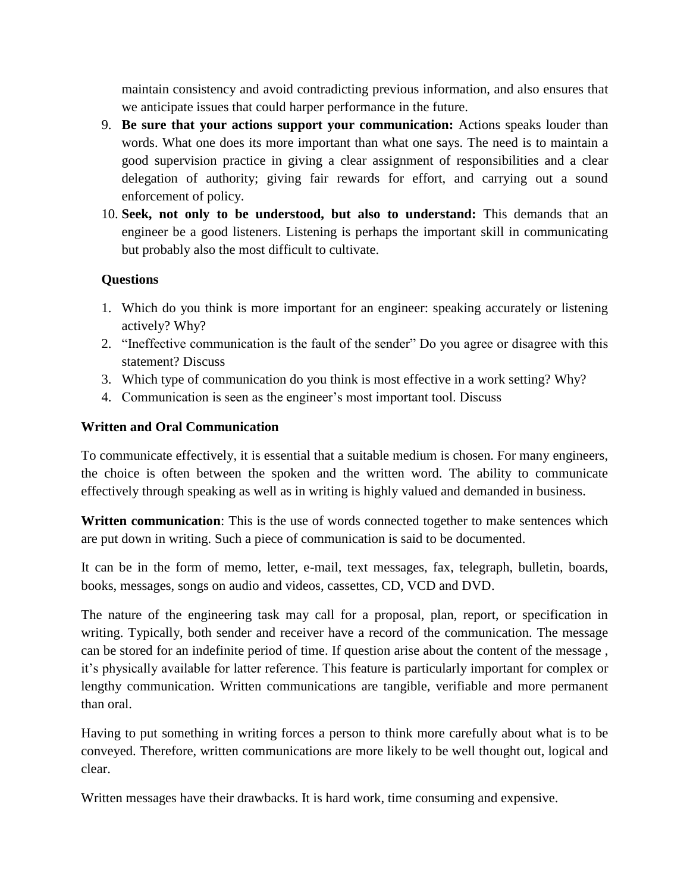maintain consistency and avoid contradicting previous information, and also ensures that we anticipate issues that could harper performance in the future.

- 9. **Be sure that your actions support your communication:** Actions speaks louder than words. What one does its more important than what one says. The need is to maintain a good supervision practice in giving a clear assignment of responsibilities and a clear delegation of authority; giving fair rewards for effort, and carrying out a sound enforcement of policy.
- 10. **Seek, not only to be understood, but also to understand:** This demands that an engineer be a good listeners. Listening is perhaps the important skill in communicating but probably also the most difficult to cultivate.

# **Questions**

- 1. Which do you think is more important for an engineer: speaking accurately or listening actively? Why?
- 2. "Ineffective communication is the fault of the sender" Do you agree or disagree with this statement? Discuss
- 3. Which type of communication do you think is most effective in a work setting? Why?
- 4. Communication is seen as the engineer's most important tool. Discuss

# **Written and Oral Communication**

To communicate effectively, it is essential that a suitable medium is chosen. For many engineers, the choice is often between the spoken and the written word. The ability to communicate effectively through speaking as well as in writing is highly valued and demanded in business.

**Written communication**: This is the use of words connected together to make sentences which are put down in writing. Such a piece of communication is said to be documented.

It can be in the form of memo, letter, e-mail, text messages, fax, telegraph, bulletin, boards, books, messages, songs on audio and videos, cassettes, CD, VCD and DVD.

The nature of the engineering task may call for a proposal, plan, report, or specification in writing. Typically, both sender and receiver have a record of the communication. The message can be stored for an indefinite period of time. If question arise about the content of the message , it's physically available for latter reference. This feature is particularly important for complex or lengthy communication. Written communications are tangible, verifiable and more permanent than oral.

Having to put something in writing forces a person to think more carefully about what is to be conveyed. Therefore, written communications are more likely to be well thought out, logical and clear.

Written messages have their drawbacks. It is hard work, time consuming and expensive.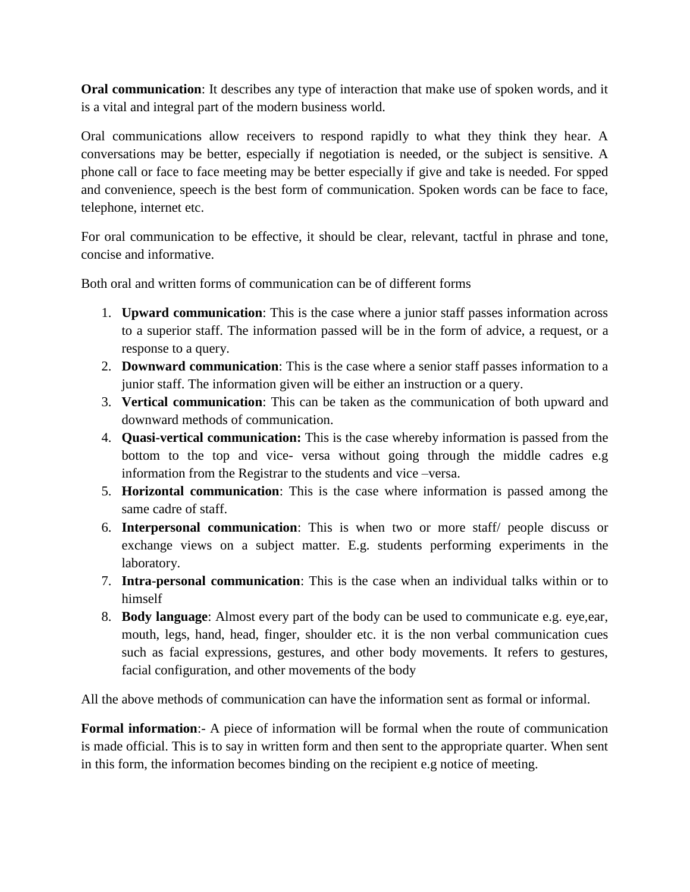**Oral communication**: It describes any type of interaction that make use of spoken words, and it is a vital and integral part of the modern business world.

Oral communications allow receivers to respond rapidly to what they think they hear. A conversations may be better, especially if negotiation is needed, or the subject is sensitive. A phone call or face to face meeting may be better especially if give and take is needed. For spped and convenience, speech is the best form of communication. Spoken words can be face to face, telephone, internet etc.

For oral communication to be effective, it should be clear, relevant, tactful in phrase and tone, concise and informative.

Both oral and written forms of communication can be of different forms

- 1. **Upward communication**: This is the case where a junior staff passes information across to a superior staff. The information passed will be in the form of advice, a request, or a response to a query.
- 2. **Downward communication**: This is the case where a senior staff passes information to a junior staff. The information given will be either an instruction or a query.
- 3. **Vertical communication**: This can be taken as the communication of both upward and downward methods of communication.
- 4. **Quasi-vertical communication:** This is the case whereby information is passed from the bottom to the top and vice- versa without going through the middle cadres e.g information from the Registrar to the students and vice –versa.
- 5. **Horizontal communication**: This is the case where information is passed among the same cadre of staff.
- 6. **Interpersonal communication**: This is when two or more staff/ people discuss or exchange views on a subject matter. E.g. students performing experiments in the laboratory.
- 7. **Intra-personal communication**: This is the case when an individual talks within or to himself
- 8. **Body language**: Almost every part of the body can be used to communicate e.g. eye,ear, mouth, legs, hand, head, finger, shoulder etc. it is the non verbal communication cues such as facial expressions, gestures, and other body movements. It refers to gestures, facial configuration, and other movements of the body

All the above methods of communication can have the information sent as formal or informal.

**Formal information**:- A piece of information will be formal when the route of communication is made official. This is to say in written form and then sent to the appropriate quarter. When sent in this form, the information becomes binding on the recipient e.g notice of meeting.